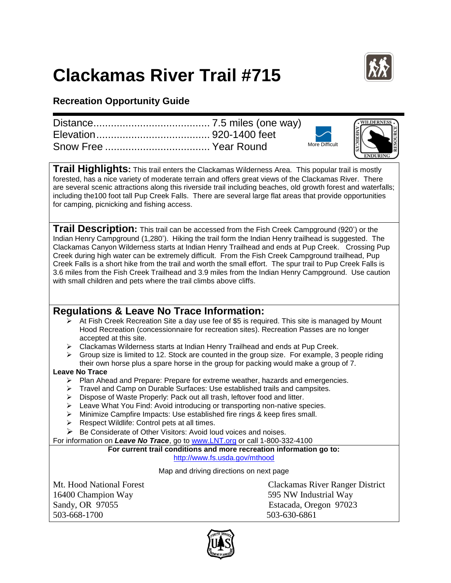## **Clackamas River Trail #715**



## **Recreation Opportunity Guide**

|  | <b>More Difficult</b> |  |
|--|-----------------------|--|
|  |                       |  |

**Trail Highlights:** This trail enters the Clackamas Wilderness Area. This popular trail is mostly forested, has a nice variety of moderate terrain and offers great views of the Clackamas River. There are several scenic attractions along this riverside trail including beaches, old growth forest and waterfalls; including the100 foot tall Pup Creek Falls. There are several large flat areas that provide opportunities for camping, picnicking and fishing access.

**Trail Description:** This trail can be accessed from the Fish Creek Campground (920') or the Indian Henry Campground (1,280'). Hiking the trail form the Indian Henry trailhead is suggested. The Clackamas Canyon Wilderness starts at Indian Henry Trailhead and ends at Pup Creek. Crossing Pup Creek during high water can be extremely difficult. From the Fish Creek Campground trailhead, Pup Creek Falls is a short hike from the trail and worth the small effort. The spur trail to Pup Creek Falls is 3.6 miles from the Fish Creek Trailhead and 3.9 miles from the Indian Henry Campground. Use caution with small children and pets where the trail climbs above cliffs.

| <b>Regulations &amp; Leave No Trace Information:</b> |
|------------------------------------------------------|
|------------------------------------------------------|

- $\triangleright$  At Fish Creek Recreation Site a day use fee of \$5 is required. This site is managed by Mount Hood Recreation (concessionnaire for recreation sites). Recreation Passes are no longer accepted at this site.
- Clackamas Wilderness starts at Indian Henry Trailhead and ends at Pup Creek.
- $\triangleright$  Group size is limited to 12. Stock are counted in the group size. For example, 3 people riding their own horse plus a spare horse in the group for packing would make a group of 7.

## **Leave No Trace**

- $\triangleright$  Plan Ahead and Prepare: Prepare for extreme weather, hazards and emergencies.
- $\triangleright$  Travel and Camp on Durable Surfaces: Use established trails and campsites.
- > Dispose of Waste Properly: Pack out all trash, leftover food and litter.
- $\triangleright$  Leave What You Find: Avoid introducing or transporting non-native species.
- > Minimize Campfire Impacts: Use established fire rings & keep fires small.
- $\triangleright$  Respect Wildlife: Control pets at all times.
- Be Considerate of Other Visitors: Avoid loud voices and noises.

For information on *Leave No Trace*, go to [www.LNT.org](http://www.lnt.org/) or call 1-800-332-4100

## **For current trail conditions and more recreation information go to:** <http://www.fs.usda.gov/mthood>

Map and driving directions on next page

16400 Champion Way 595 NW Industrial Way 503-668-1700 503-630-6861

Mt. Hood National Forest Clackamas River Ranger District Sandy, OR 97055 Estacada, Oregon 97023

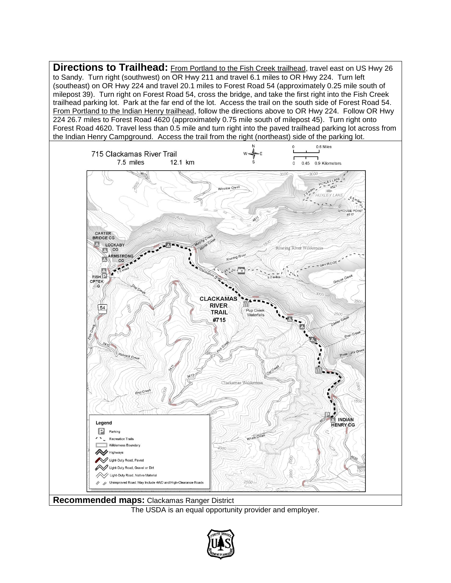

**Recommended maps:** Clackamas Ranger District

The USDA is an equal opportunity provider and employer.